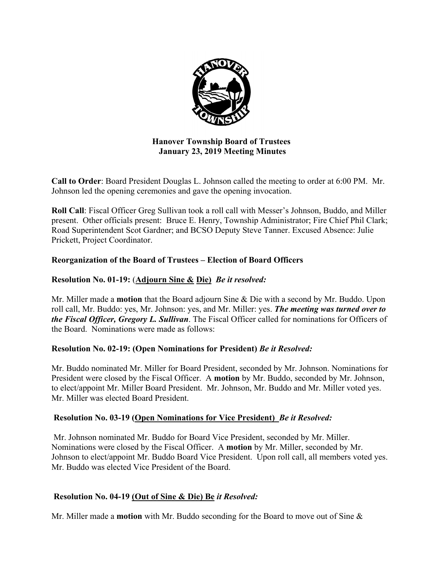

## **Hanover Township Board of Trustees January 23, 2019 Meeting Minutes**

**Call to Order**: Board President Douglas L. Johnson called the meeting to order at 6:00 PM. Mr. Johnson led the opening ceremonies and gave the opening invocation.

**Roll Call**: Fiscal Officer Greg Sullivan took a roll call with Messer's Johnson, Buddo, and Miller present. Other officials present: Bruce E. Henry, Township Administrator; Fire Chief Phil Clark; Road Superintendent Scot Gardner; and BCSO Deputy Steve Tanner. Excused Absence: Julie Prickett, Project Coordinator.

## **Reorganization of the Board of Trustees – Election of Board Officers**

## **Resolution No. 01-19:** (**Adjourn Sine & Die)** *Be it resolved:*

Mr. Miller made a **motion** that the Board adjourn Sine & Die with a second by Mr. Buddo. Upon roll call, Mr. Buddo: yes, Mr. Johnson: yes, and Mr. Miller: yes. *The meeting was turned over to the Fiscal Officer, Gregory L. Sullivan*. The Fiscal Officer called for nominations for Officers of the Board. Nominations were made as follows:

## **Resolution No. 02-19: (Open Nominations for President)** *Be it Resolved:*

Mr. Buddo nominated Mr. Miller for Board President, seconded by Mr. Johnson. Nominations for President were closed by the Fiscal Officer. A **motion** by Mr. Buddo, seconded by Mr. Johnson, to elect/appoint Mr. Miller Board President. Mr. Johnson, Mr. Buddo and Mr. Miller voted yes. Mr. Miller was elected Board President.

## **Resolution No. 03-19 (Open Nominations for Vice President)** *Be it Resolved:*

 Mr. Johnson nominated Mr. Buddo for Board Vice President, seconded by Mr. Miller. Nominations were closed by the Fiscal Officer. A **motion** by Mr. Miller, seconded by Mr. Johnson to elect/appoint Mr. Buddo Board Vice President. Upon roll call, all members voted yes. Mr. Buddo was elected Vice President of the Board.

## **Resolution No. 04-19 (Out of Sine & Die) Be** *it Resolved:*

Mr. Miller made a **motion** with Mr. Buddo seconding for the Board to move out of Sine &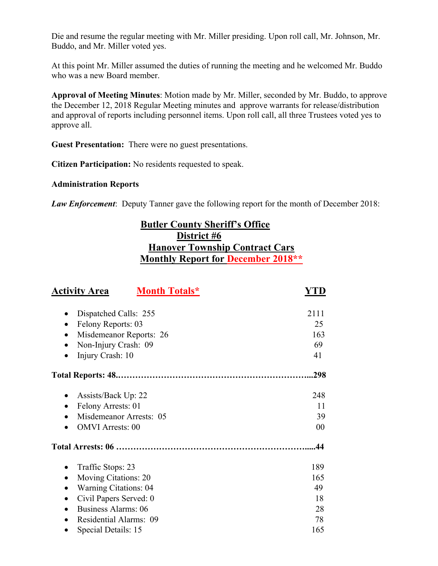Die and resume the regular meeting with Mr. Miller presiding. Upon roll call, Mr. Johnson, Mr. Buddo, and Mr. Miller voted yes.

At this point Mr. Miller assumed the duties of running the meeting and he welcomed Mr. Buddo who was a new Board member.

**Approval of Meeting Minutes**: Motion made by Mr. Miller, seconded by Mr. Buddo, to approve the December 12, 2018 Regular Meeting minutes and approve warrants for release/distribution and approval of reports including personnel items. Upon roll call, all three Trustees voted yes to approve all.

**Guest Presentation:** There were no guest presentations.

**Citizen Participation:** No residents requested to speak.

#### **Administration Reports**

*Law Enforcement*: Deputy Tanner gave the following report for the month of December 2018:

# **Butler County Sheriff's Office District #6 Hanover Township Contract Cars Monthly Report for December 2018\*\***

| <b>Activity Area</b>                    | <b>Month Totals*</b>    | YTD  |
|-----------------------------------------|-------------------------|------|
| Dispatched Calls: 255<br>٠              |                         | 2111 |
| Felony Reports: 03<br>$\bullet$         |                         | 25   |
|                                         | Misdemeanor Reports: 26 | 163  |
| Non-Injury Crash: 09                    |                         | 69   |
| Injury Crash: 10<br>$\bullet$           |                         | 41   |
|                                         |                         | .298 |
| Assists/Back Up: 22<br>٠                |                         | 248  |
| Felony Arrests: 01<br>$\bullet$         |                         | 11   |
| $\bullet$                               | Misdemeanor Arrests: 05 | 39   |
| <b>OMVI</b> Arrests: 00                 |                         | 00   |
|                                         |                         | .44  |
| Traffic Stops: 23                       |                         | 189  |
| Moving Citations: 20<br>$\bullet$       |                         | 165  |
| <b>Warning Citations: 04</b>            |                         | 49   |
| Civil Papers Served: 0                  |                         | 18   |
| <b>Business Alarms: 06</b><br>$\bullet$ |                         | 28   |
| Residential Alarms: 09                  |                         | 78   |
| Special Details: 15                     |                         | 165  |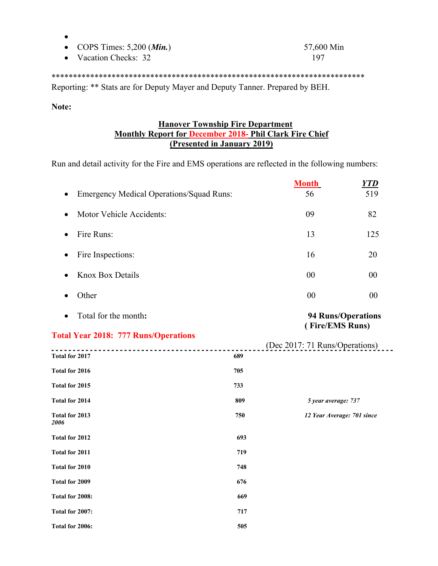- COPS Times: 5,200 (*Min.*) 57,600 Min
- Vacation Checks: 32 197

#### \*\*\*\*\*\*\*\*\*\*\*\*\*\*\*\*\*\*\*\*\*\*\*\*\*\*\*\*\*\*\*\*\*\*\*\*\*\*\*\*\*\*\*\*\*\*\*\*\*\*\*\*\*\*\*\*\*\*\*\*\*\*\*\*\*\*\*\*\*\*\*\*\*

Reporting: \*\* Stats are for Deputy Mayer and Deputy Tanner. Prepared by BEH.

#### **Note:**

 $\bullet$ 

## **Hanover Township Fire Department Monthly Report for December 2018- Phil Clark Fire Chief (Presented in January 2019)**

Run and detail activity for the Fire and EMS operations are reflected in the following numbers:

|                                                 |     | <b>Month</b>                   | <b>YTD</b>                |
|-------------------------------------------------|-----|--------------------------------|---------------------------|
| <b>Emergency Medical Operations/Squad Runs:</b> |     | 56                             | 519                       |
| Motor Vehicle Accidents:<br>٠                   |     | 09                             | 82                        |
| Fire Runs:<br>$\bullet$                         |     | 13                             | 125                       |
| Fire Inspections:<br>$\bullet$                  |     | 16                             | 20                        |
| <b>Knox Box Details</b><br>$\bullet$            |     | 00                             | 00                        |
| Other<br>$\bullet$                              |     | 00                             | 00                        |
| Total for the month:                            |     |                                | <b>94 Runs/Operations</b> |
| <b>Total Year 2018: 777 Runs/Operations</b>     |     | (Fire/EMS Runs)                |                           |
| <u>.</u><br>Total for 2017                      | 689 | (Dec 2017: 71 Runs/Operations) |                           |
| Total for 2016                                  | 705 |                                |                           |
| Total for 2015                                  | 733 |                                |                           |
| <b>Total for 2014</b>                           | 809 | 5 year average: 737            |                           |
| Total for 2013<br>2006                          | 750 | 12 Year Average: 701 since     |                           |
| Total for 2012                                  | 693 |                                |                           |
| Total for 2011                                  | 719 |                                |                           |
| Total for 2010                                  | 748 |                                |                           |
| Total for 2009                                  | 676 |                                |                           |
| Total for 2008:                                 | 669 |                                |                           |
| Total for 2007:                                 | 717 |                                |                           |
| Total for 2006:                                 | 505 |                                |                           |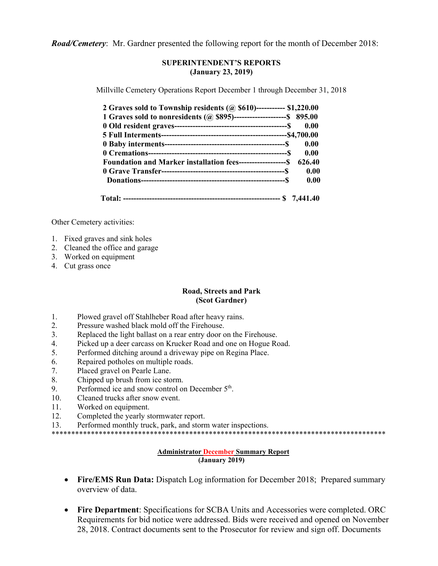*Road/Cemetery*: Mr. Gardner presented the following report for the month of December 2018:

#### **SUPERINTENDENT'S REPORTS (January 23, 2019)**

Millville Cemetery Operations Report December 1 through December 31, 2018

| 2 Graves sold to Township residents (@ \$610)----------- \$1,220.00          |      |
|------------------------------------------------------------------------------|------|
| 1 Graves sold to nonresidents (@ \$895)-----------------------\$ 895.00      |      |
| 0.00                                                                         |      |
|                                                                              |      |
| 0.00                                                                         |      |
| 0.00                                                                         |      |
| <b>Foundation and Marker installation fees-------------------S</b><br>626.40 |      |
|                                                                              | 0.00 |
|                                                                              | 0.00 |
|                                                                              |      |

Other Cemetery activities:

- 1. Fixed graves and sink holes
- 2. Cleaned the office and garage
- 3. Worked on equipment
- 4. Cut grass once

#### **Road, Streets and Park (Scot Gardner)**

- 1. Plowed gravel off Stahlheber Road after heavy rains.
- 2. Pressure washed black mold off the Firehouse.
- 3. Replaced the light ballast on a rear entry door on the Firehouse.
- 4. Picked up a deer carcass on Krucker Road and one on Hogue Road.
- 5. Performed ditching around a driveway pipe on Regina Place.
- 6. Repaired potholes on multiple roads.
- 7. Placed gravel on Pearle Lane.
- 8. Chipped up brush from ice storm.
- 9. Performed ice and snow control on December  $5<sup>th</sup>$ .
- 10. Cleaned trucks after snow event.
- 11. Worked on equipment.
- 12. Completed the yearly stormwater report.
- 13. Performed monthly truck, park, and storm water inspections.

\*\*\*\*\*\*\*\*\*\*\*\*\*\*\*\*\*\*\*\*\*\*\*\*\*\*\*\*\*\*\*\*\*\*\*\*\*\*\*\*\*\*\*\*\*\*\*\*\*\*\*\*\*\*\*\*\*\*\*\*\*\*\*\*\*\*\*\*\*\*\*\*\*\*\*\*\*\*\*\*\*\*\*\*\*

#### **Administrator December Summary Report (January 2019)**

- Fire/EMS Run Data: Dispatch Log information for December 2018; Prepared summary overview of data.
- **Fire Department**: Specifications for SCBA Units and Accessories were completed. ORC Requirements for bid notice were addressed. Bids were received and opened on November 28, 2018. Contract documents sent to the Prosecutor for review and sign off. Documents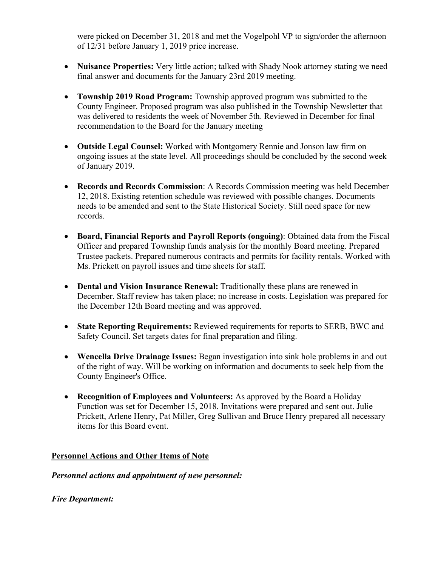were picked on December 31, 2018 and met the Vogelpohl VP to sign/order the afternoon of 12/31 before January 1, 2019 price increase.

- **Nuisance Properties:** Very little action; talked with Shady Nook attorney stating we need final answer and documents for the January 23rd 2019 meeting.
- **Township 2019 Road Program:** Township approved program was submitted to the County Engineer. Proposed program was also published in the Township Newsletter that was delivered to residents the week of November 5th. Reviewed in December for final recommendation to the Board for the January meeting
- **Outside Legal Counsel:** Worked with Montgomery Rennie and Jonson law firm on ongoing issues at the state level. All proceedings should be concluded by the second week of January 2019.
- **Records and Records Commission**: A Records Commission meeting was held December 12, 2018. Existing retention schedule was reviewed with possible changes. Documents needs to be amended and sent to the State Historical Society. Still need space for new records.
- **Board, Financial Reports and Payroll Reports (ongoing)**: Obtained data from the Fiscal Officer and prepared Township funds analysis for the monthly Board meeting. Prepared Trustee packets. Prepared numerous contracts and permits for facility rentals. Worked with Ms. Prickett on payroll issues and time sheets for staff.
- **Dental and Vision Insurance Renewal:** Traditionally these plans are renewed in December. Staff review has taken place; no increase in costs. Legislation was prepared for the December 12th Board meeting and was approved.
- **State Reporting Requirements:** Reviewed requirements for reports to SERB, BWC and Safety Council. Set targets dates for final preparation and filing.
- **Wencella Drive Drainage Issues:** Began investigation into sink hole problems in and out of the right of way. Will be working on information and documents to seek help from the County Engineer's Office.
- **Recognition of Employees and Volunteers:** As approved by the Board a Holiday Function was set for December 15, 2018. Invitations were prepared and sent out. Julie Prickett, Arlene Henry, Pat Miller, Greg Sullivan and Bruce Henry prepared all necessary items for this Board event.

## **Personnel Actions and Other Items of Note**

## *Personnel actions and appointment of new personnel:*

*Fire Department:*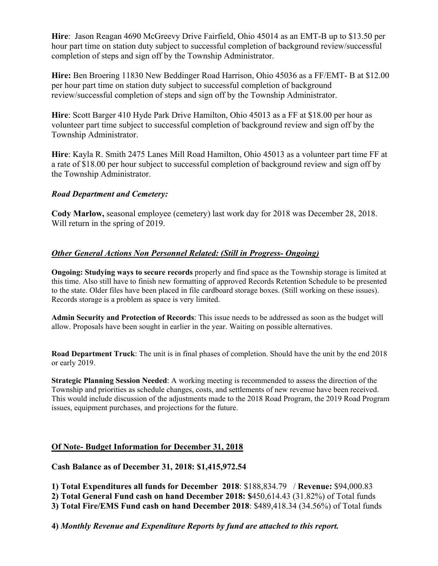**Hire**: Jason Reagan 4690 McGreevy Drive Fairfield, Ohio 45014 as an EMT-B up to \$13.50 per hour part time on station duty subject to successful completion of background review/successful completion of steps and sign off by the Township Administrator.

**Hire:** Ben Broering 11830 New Beddinger Road Harrison, Ohio 45036 as a FF/EMT- B at \$12.00 per hour part time on station duty subject to successful completion of background review/successful completion of steps and sign off by the Township Administrator.

**Hire**: Scott Barger 410 Hyde Park Drive Hamilton, Ohio 45013 as a FF at \$18.00 per hour as volunteer part time subject to successful completion of background review and sign off by the Township Administrator.

**Hire**: Kayla R. Smith 2475 Lanes Mill Road Hamilton, Ohio 45013 as a volunteer part time FF at a rate of \$18.00 per hour subject to successful completion of background review and sign off by the Township Administrator.

## *Road Department and Cemetery:*

**Cody Marlow,** seasonal employee (cemetery) last work day for 2018 was December 28, 2018. Will return in the spring of 2019.

#### *Other General Actions Non Personnel Related: (Still in Progress- Ongoing)*

**Ongoing: Studying ways to secure records** properly and find space as the Township storage is limited at this time. Also still have to finish new formatting of approved Records Retention Schedule to be presented to the state. Older files have been placed in file cardboard storage boxes. (Still working on these issues). Records storage is a problem as space is very limited.

**Admin Security and Protection of Records**: This issue needs to be addressed as soon as the budget will allow. Proposals have been sought in earlier in the year. Waiting on possible alternatives.

**Road Department Truck**: The unit is in final phases of completion. Should have the unit by the end 2018 or early 2019.

**Strategic Planning Session Needed**: A working meeting is recommended to assess the direction of the Township and priorities as schedule changes, costs, and settlements of new revenue have been received. This would include discussion of the adjustments made to the 2018 Road Program, the 2019 Road Program issues, equipment purchases, and projections for the future.

## **Of Note- Budget Information for December 31, 2018**

**Cash Balance as of December 31, 2018: \$1,415,972.54** 

**1) Total Expenditures all funds for December 2018**: \$188,834.79 / **Revenue:** \$94,000.83

**2) Total General Fund cash on hand December 2018: \$**450,614.43 (31.82%) of Total funds

**3) Total Fire/EMS Fund cash on hand December 2018**: \$489,418.34 (34.56%) of Total funds

**4)** *Monthly Revenue and Expenditure Reports by fund are attached to this report.*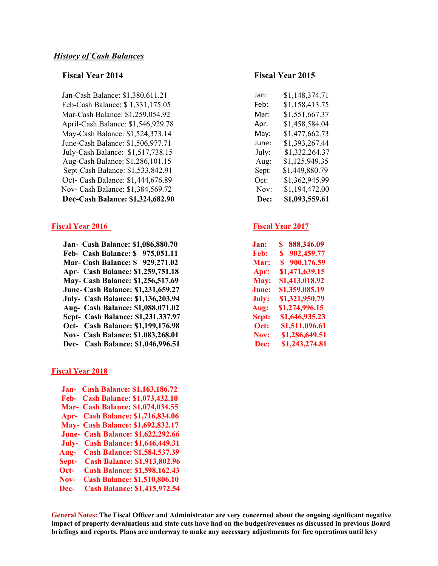Jan-Cash Balance: \$1,380,611.21 Jan: \$1,148,374.71 Feb-Cash Balance: \$ 1,331,175.05 Feb: \$1,158,413.75 Mar-Cash Balance: \$1,259,054.92 April-Cash Balance: \$1,546,929.78 May-Cash Balance: \$1,524,373.14 June-Cash Balance: \$1,506,977.71 July-Cash Balance: \$1,517,738.15 Aug-Cash Balance: \$1,286,101.15 Sept-Cash Balance: \$1,533,842.91 Oct- Cash Balance: \$1,444,676.89 Nov- Cash Balance: \$1,384,569.72 **Dec-Cash Balance: \$1,324,682.90** 

#### **Fiscal Year 2016** Fiscal Year 2017

 **Jan- Cash Balance: \$1,086,880.70 Feb- Cash Balance: \$ 975,051.11 Mar- Cash Balance: \$ 929,271.02 Apr- Cash Balance: \$1,259,751.18 May- Cash Balance: \$1,256,517.69 June- Cash Balance: \$1,231,659.27** July- Cash Balance: \$1,136,203.94  **Aug- Cash Balance: \$1,088,071.02 Sept- Cash Balance: \$1,231,337.97 Oct-** Cash Balance: \$1,199,176.98 **Nov- Cash Balance: \$1,083,268.01** Dec- Cash Balance: \$1,046,996.51

#### **Fiscal Year 2018**

 **Jan- Cash Balance: \$1,163,186.72 Feb- Cash Balance: \$1,073,432.10 Mar- Cash Balance: \$1,074,034.55 Apr- Cash Balance: \$1,716,834.06 May- Cash Balance: \$1,692,832.17 June- Cash Balance: \$1,622,292.66 July- Cash Balance: \$1,646,449.31 Aug- Cash Balance: \$1,584,537.39 Sept- Cash Balance: \$1,913,802.96 Oct- Cash Balance: \$1,598,162.43 Nov- Cash Balance: \$1,510,806.10 Dec- Cash Balance: \$1,415,972.54** 

#### **Fiscal Year 2014 Fiscal Year 2015**

| an:             | \$1,148,374.71 |
|-----------------|----------------|
| eb:             | \$1,158,413.75 |
| Mar:            | \$1,551,667.37 |
| \pr:            | \$1,458,584.04 |
| May:            | \$1,477,662.73 |
| une:            | \$1,393,267.44 |
| July:           | \$1,332,264.37 |
| Aug:            | \$1,125,949.35 |
| Sept:           | \$1,449,880.79 |
| $\nobreak$ Dct: | \$1,362,945.99 |
| Nov:            | \$1,194,472.00 |
| Dec:            | \$1,093,559.61 |

| .lan: | S<br>888,346.09 |
|-------|-----------------|
| Feb:  | S<br>902,459.77 |
| Mar:  | 900,176.59<br>S |
| Apr:  | \$1,471,639.15  |
| May:  | \$1,413,018.92  |
| June: | \$1,359,085.19  |
| July: | \$1,321,950.79  |
| Aug:  | \$1,274,996.15  |
| Sept: | \$1,646,935.23  |
| Oct:  | \$1,511,096.61  |
| Nov:  | \$1,286,649.51  |
| Dec:  | \$1,243,274.81  |

**General Notes: The Fiscal Officer and Administrator are very concerned about the ongoing significant negative impact of property devaluations and state cuts have had on the budget/revenues as discussed in previous Board briefings and reports. Plans are underway to make any necessary adjustments for fire operations until levy**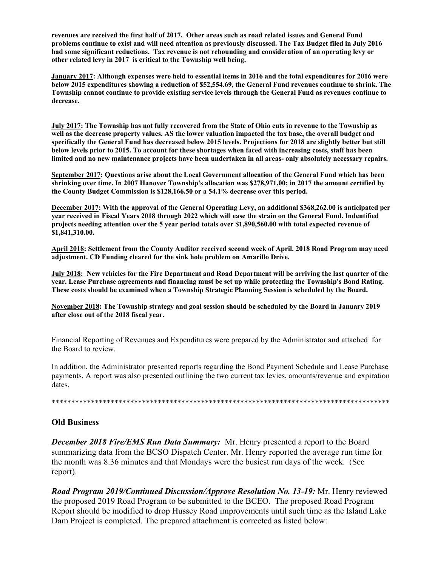**revenues are received the first half of 2017. Other areas such as road related issues and General Fund problems continue to exist and will need attention as previously discussed. The Tax Budget filed in July 2016 had some significant reductions. Tax revenue is not rebounding and consideration of an operating levy or other related levy in 2017 is critical to the Township well being.** 

**January 2017: Although expenses were held to essential items in 2016 and the total expenditures for 2016 were below 2015 expenditures showing a reduction of \$52,554.69, the General Fund revenues continue to shrink. The Township cannot continue to provide existing service levels through the General Fund as revenues continue to decrease.** 

**July 2017: The Township has not fully recovered from the State of Ohio cuts in revenue to the Township as well as the decrease property values. AS the lower valuation impacted the tax base, the overall budget and specifically the General Fund has decreased below 2015 levels. Projections for 2018 are slightly better but still below levels prior to 2015. To account for these shortages when faced with increasing costs, staff has been limited and no new maintenance projects have been undertaken in all areas- only absolutely necessary repairs.** 

**September 2017: Questions arise about the Local Government allocation of the General Fund which has been shrinking over time. In 2007 Hanover Township's allocation was \$278,971.00; in 2017 the amount certified by the County Budget Commission is \$128,166.50 or a 54.1% decrease over this period.** 

**December 2017: With the approval of the General Operating Levy, an additional \$368,262.00 is anticipated per year received in Fiscal Years 2018 through 2022 which will ease the strain on the General Fund. Indentified projects needing attention over the 5 year period totals over \$1,890,560.00 with total expected revenue of \$1,841,310.00.** 

**April 2018: Settlement from the County Auditor received second week of April. 2018 Road Program may need adjustment. CD Funding cleared for the sink hole problem on Amarillo Drive.** 

**July 2018: New vehicles for the Fire Department and Road Department will be arriving the last quarter of the year. Lease Purchase agreements and financing must be set up while protecting the Township's Bond Rating. These costs should be examined when a Township Strategic Planning Session is scheduled by the Board.** 

**November 2018: The Township strategy and goal session should be scheduled by the Board in January 2019 after close out of the 2018 fiscal year.** 

Financial Reporting of Revenues and Expenditures were prepared by the Administrator and attached for the Board to review.

In addition, the Administrator presented reports regarding the Bond Payment Schedule and Lease Purchase payments. A report was also presented outlining the two current tax levies, amounts/revenue and expiration dates.

\*\*\*\*\*\*\*\*\*\*\*\*\*\*\*\*\*\*\*\*\*\*\*\*\*\*\*\*\*\*\*\*\*\*\*\*\*\*\*\*\*\*\*\*\*\*\*\*\*\*\*\*\*\*\*\*\*\*\*\*\*\*\*\*\*\*\*\*\*\*\*\*\*\*\*\*\*\*\*\*\*\*\*\*\*\*

#### **Old Business**

*December 2018 Fire/EMS Run Data Summary:* Mr. Henry presented a report to the Board summarizing data from the BCSO Dispatch Center. Mr. Henry reported the average run time for the month was 8.36 minutes and that Mondays were the busiest run days of the week. (See report).

*Road Program 2019/Continued Discussion/Approve Resolution No. 13-19:* Mr. Henry reviewed the proposed 2019 Road Program to be submitted to the BCEO. The proposed Road Program Report should be modified to drop Hussey Road improvements until such time as the Island Lake Dam Project is completed. The prepared attachment is corrected as listed below: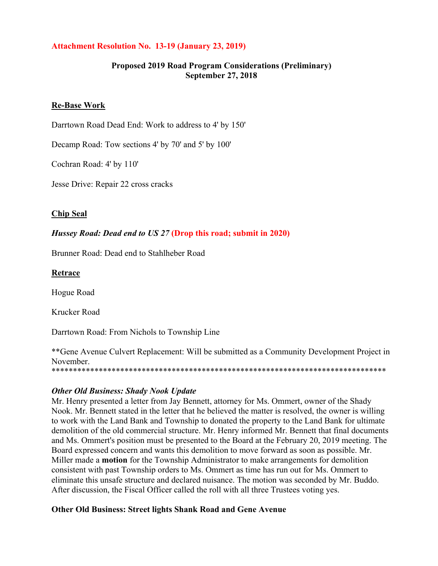## **Attachment Resolution No. 13-19 (January 23, 2019)**

#### **Proposed 2019 Road Program Considerations (Preliminary) September 27, 2018**

#### **Re-Base Work**

Darrtown Road Dead End: Work to address to 4' by 150'

Decamp Road: Tow sections 4' by 70' and 5' by 100'

Cochran Road: 4' by 110'

Jesse Drive: Repair 22 cross cracks

#### **Chip Seal**

#### *Hussey Road: Dead end to US 27* **(Drop this road; submit in 2020)**

Brunner Road: Dead end to Stahlheber Road

#### **Retrace**

Hogue Road

Krucker Road

Darrtown Road: From Nichols to Township Line

\*\*Gene Avenue Culvert Replacement: Will be submitted as a Community Development Project in November. \*\*\*\*\*\*\*\*\*\*\*\*\*\*\*\*\*\*\*\*\*\*\*\*\*\*\*\*\*\*\*\*\*\*\*\*\*\*\*\*\*\*\*\*\*\*\*\*\*\*\*\*\*\*\*\*\*\*\*\*\*\*\*\*\*\*\*\*\*\*\*\*\*\*\*\*\*\*

#### *Other Old Business: Shady Nook Update*

Mr. Henry presented a letter from Jay Bennett, attorney for Ms. Ommert, owner of the Shady Nook. Mr. Bennett stated in the letter that he believed the matter is resolved, the owner is willing to work with the Land Bank and Township to donated the property to the Land Bank for ultimate demolition of the old commercial structure. Mr. Henry informed Mr. Bennett that final documents and Ms. Ommert's position must be presented to the Board at the February 20, 2019 meeting. The Board expressed concern and wants this demolition to move forward as soon as possible. Mr. Miller made a **motion** for the Township Administrator to make arrangements for demolition consistent with past Township orders to Ms. Ommert as time has run out for Ms. Ommert to eliminate this unsafe structure and declared nuisance. The motion was seconded by Mr. Buddo. After discussion, the Fiscal Officer called the roll with all three Trustees voting yes.

#### **Other Old Business: Street lights Shank Road and Gene Avenue**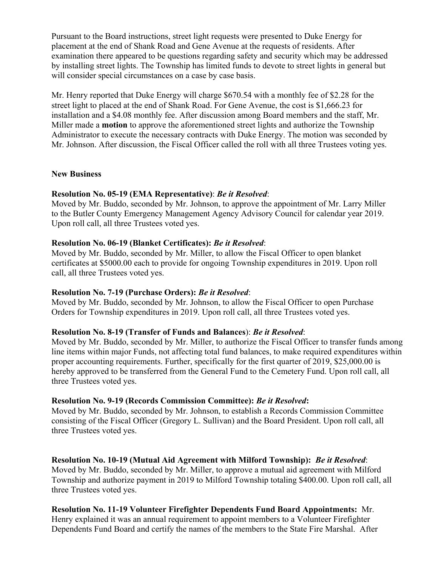Pursuant to the Board instructions, street light requests were presented to Duke Energy for placement at the end of Shank Road and Gene Avenue at the requests of residents. After examination there appeared to be questions regarding safety and security which may be addressed by installing street lights. The Township has limited funds to devote to street lights in general but will consider special circumstances on a case by case basis.

Mr. Henry reported that Duke Energy will charge \$670.54 with a monthly fee of \$2.28 for the street light to placed at the end of Shank Road. For Gene Avenue, the cost is \$1,666.23 for installation and a \$4.08 monthly fee. After discussion among Board members and the staff, Mr. Miller made a **motion** to approve the aforementioned street lights and authorize the Township Administrator to execute the necessary contracts with Duke Energy. The motion was seconded by Mr. Johnson. After discussion, the Fiscal Officer called the roll with all three Trustees voting yes.

#### **New Business**

#### **Resolution No. 05-19 (EMA Representative)**: *Be it Resolved*:

Moved by Mr. Buddo, seconded by Mr. Johnson, to approve the appointment of Mr. Larry Miller to the Butler County Emergency Management Agency Advisory Council for calendar year 2019. Upon roll call, all three Trustees voted yes.

#### **Resolution No. 06-19 (Blanket Certificates):** *Be it Resolved*:

Moved by Mr. Buddo, seconded by Mr. Miller, to allow the Fiscal Officer to open blanket certificates at \$5000.00 each to provide for ongoing Township expenditures in 2019. Upon roll call, all three Trustees voted yes.

## **Resolution No. 7-19 (Purchase Orders):** *Be it Resolved*:

Moved by Mr. Buddo, seconded by Mr. Johnson, to allow the Fiscal Officer to open Purchase Orders for Township expenditures in 2019. Upon roll call, all three Trustees voted yes.

## **Resolution No. 8-19 (Transfer of Funds and Balances**): *Be it Resolved*:

Moved by Mr. Buddo, seconded by Mr. Miller, to authorize the Fiscal Officer to transfer funds among line items within major Funds, not affecting total fund balances, to make required expenditures within proper accounting requirements. Further, specifically for the first quarter of 2019, \$25,000.00 is hereby approved to be transferred from the General Fund to the Cemetery Fund. Upon roll call, all three Trustees voted yes.

#### **Resolution No. 9-19 (Records Commission Committee):** *Be it Resolved***:**

Moved by Mr. Buddo, seconded by Mr. Johnson, to establish a Records Commission Committee consisting of the Fiscal Officer (Gregory L. Sullivan) and the Board President. Upon roll call, all three Trustees voted yes.

**Resolution No. 10-19 (Mutual Aid Agreement with Milford Township):** *Be it Resolved*: Moved by Mr. Buddo, seconded by Mr. Miller, to approve a mutual aid agreement with Milford Township and authorize payment in 2019 to Milford Township totaling \$400.00. Upon roll call, all three Trustees voted yes.

# **Resolution No. 11-19 Volunteer Firefighter Dependents Fund Board Appointments:** Mr.

Henry explained it was an annual requirement to appoint members to a Volunteer Firefighter Dependents Fund Board and certify the names of the members to the State Fire Marshal. After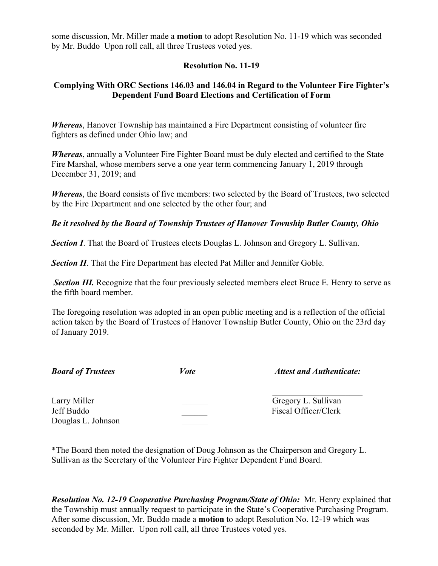some discussion, Mr. Miller made a **motion** to adopt Resolution No. 11-19 which was seconded by Mr. Buddo Upon roll call, all three Trustees voted yes.

#### **Resolution No. 11-19**

## **Complying With ORC Sections 146.03 and 146.04 in Regard to the Volunteer Fire Fighter's Dependent Fund Board Elections and Certification of Form**

*Whereas*, Hanover Township has maintained a Fire Department consisting of volunteer fire fighters as defined under Ohio law; and

*Whereas*, annually a Volunteer Fire Fighter Board must be duly elected and certified to the State Fire Marshal, whose members serve a one year term commencing January 1, 2019 through December 31, 2019; and

*Whereas*, the Board consists of five members: two selected by the Board of Trustees, two selected by the Fire Department and one selected by the other four; and

#### *Be it resolved by the Board of Township Trustees of Hanover Township Butler County, Ohio*

**Section I**. That the Board of Trustees elects Douglas L. Johnson and Gregory L. Sullivan.

**Section II**. That the Fire Department has elected Pat Miller and Jennifer Goble.

**Section III.** Recognize that the four previously selected members elect Bruce E. Henry to serve as the fifth board member.

The foregoing resolution was adopted in an open public meeting and is a reflection of the official action taken by the Board of Trustees of Hanover Township Butler County, Ohio on the 23rd day of January 2019.

| <b>Board of Trustees</b>                         | <i>Vote</i> | <b>Attest and Authenticate:</b>             |
|--------------------------------------------------|-------------|---------------------------------------------|
| Larry Miller<br>Jeff Buddo<br>Douglas L. Johnson |             | Gregory L. Sullivan<br>Fiscal Officer/Clerk |

\*The Board then noted the designation of Doug Johnson as the Chairperson and Gregory L. Sullivan as the Secretary of the Volunteer Fire Fighter Dependent Fund Board.

*Resolution No. 12-19 Cooperative Purchasing Program/State of Ohio:* Mr. Henry explained that the Township must annually request to participate in the State's Cooperative Purchasing Program. After some discussion, Mr. Buddo made a **motion** to adopt Resolution No. 12-19 which was seconded by Mr. Miller. Upon roll call, all three Trustees voted yes.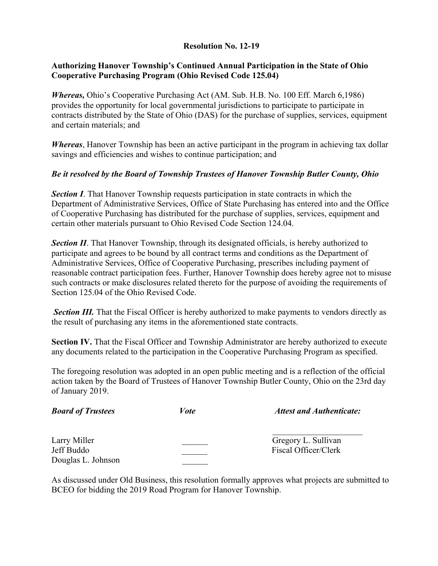## **Resolution No. 12-19**

#### **Authorizing Hanover Township's Continued Annual Participation in the State of Ohio Cooperative Purchasing Program (Ohio Revised Code 125.04)**

*Whereas, Ohio's Cooperative Purchasing Act (AM. Sub. H.B. No. 100 Eff. March 6,1986)* provides the opportunity for local governmental jurisdictions to participate to participate in contracts distributed by the State of Ohio (DAS) for the purchase of supplies, services, equipment and certain materials; and

*Whereas*, Hanover Township has been an active participant in the program in achieving tax dollar savings and efficiencies and wishes to continue participation; and

## *Be it resolved by the Board of Township Trustees of Hanover Township Butler County, Ohio*

**Section I**. That Hanover Township requests participation in state contracts in which the Department of Administrative Services, Office of State Purchasing has entered into and the Office of Cooperative Purchasing has distributed for the purchase of supplies, services, equipment and certain other materials pursuant to Ohio Revised Code Section 124.04.

**Section II.** That Hanover Township, through its designated officials, is hereby authorized to participate and agrees to be bound by all contract terms and conditions as the Department of Administrative Services, Office of Cooperative Purchasing, prescribes including payment of reasonable contract participation fees. Further, Hanover Township does hereby agree not to misuse such contracts or make disclosures related thereto for the purpose of avoiding the requirements of Section 125.04 of the Ohio Revised Code.

**Section III.** That the Fiscal Officer is hereby authorized to make payments to vendors directly as the result of purchasing any items in the aforementioned state contracts.

Section IV. That the Fiscal Officer and Township Administrator are hereby authorized to execute any documents related to the participation in the Cooperative Purchasing Program as specified.

The foregoing resolution was adopted in an open public meeting and is a reflection of the official action taken by the Board of Trustees of Hanover Township Butler County, Ohio on the 23rd day of January 2019.

| <b>Board of Trustees</b>                         | Vote | <b>Attest and Authenticate:</b>             |
|--------------------------------------------------|------|---------------------------------------------|
| Larry Miller<br>Jeff Buddo<br>Douglas L. Johnson |      | Gregory L. Sullivan<br>Fiscal Officer/Clerk |

As discussed under Old Business, this resolution formally approves what projects are submitted to BCEO for bidding the 2019 Road Program for Hanover Township.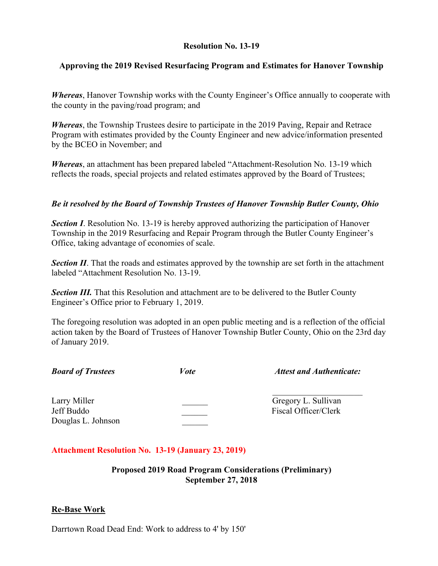#### **Resolution No. 13-19**

#### **Approving the 2019 Revised Resurfacing Program and Estimates for Hanover Township**

*Whereas*, Hanover Township works with the County Engineer's Office annually to cooperate with the county in the paving/road program; and

*Whereas*, the Township Trustees desire to participate in the 2019 Paving, Repair and Retrace Program with estimates provided by the County Engineer and new advice/information presented by the BCEO in November; and

*Whereas*, an attachment has been prepared labeled "Attachment-Resolution No. 13-19 which reflects the roads, special projects and related estimates approved by the Board of Trustees;

#### *Be it resolved by the Board of Township Trustees of Hanover Township Butler County, Ohio*

**Section I.** Resolution No. 13-19 is hereby approved authorizing the participation of Hanover Township in the 2019 Resurfacing and Repair Program through the Butler County Engineer's Office, taking advantage of economies of scale.

**Section II**. That the roads and estimates approved by the township are set forth in the attachment labeled "Attachment Resolution No. 13-19.

**Section III.** That this Resolution and attachment are to be delivered to the Butler County Engineer's Office prior to February 1, 2019.

The foregoing resolution was adopted in an open public meeting and is a reflection of the official action taken by the Board of Trustees of Hanover Township Butler County, Ohio on the 23rd day of January 2019.

|  |  | <b>Board of Trustees</b> |
|--|--|--------------------------|
|--|--|--------------------------|

*Formation <i>Board Attest and Authenticate:*  $\boldsymbol{\hat{z}}$ 

Larry Miller Gregory L. Sullivan Jeff Buddo **Exercise Server Exercise Server Alleh Server Exercise Server Alleh Server Server Alleh Server Server Alleh Server Server Server Alleh Server Server Server Alleh Server Server Server Server Server Server Server** Douglas L. Johnson

## **Attachment Resolution No. 13-19 (January 23, 2019)**

## **Proposed 2019 Road Program Considerations (Preliminary) September 27, 2018**

## **Re-Base Work**

Darrtown Road Dead End: Work to address to 4' by 150'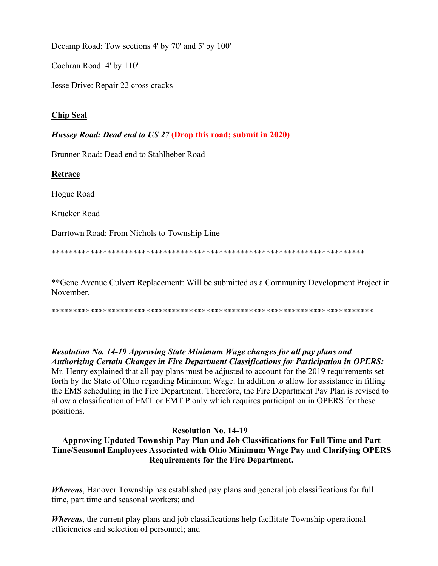Decamp Road: Tow sections 4' by 70' and 5' by 100'

Cochran Road: 4' by 110'

Jesse Drive: Repair 22 cross cracks

#### **Chip Seal**

#### *Hussey Road: Dead end to US 27* **(Drop this road; submit in 2020)**

Brunner Road: Dead end to Stahlheber Road

**Retrace** 

Hogue Road

Krucker Road

Darrtown Road: From Nichols to Township Line

\*\*\*\*\*\*\*\*\*\*\*\*\*\*\*\*\*\*\*\*\*\*\*\*\*\*\*\*\*\*\*\*\*\*\*\*\*\*\*\*\*\*\*\*\*\*\*\*\*\*\*\*\*\*\*\*\*\*\*\*\*\*\*\*\*\*\*\*\*\*\*\*\*

\*\*Gene Avenue Culvert Replacement: Will be submitted as a Community Development Project in November.

\*\*\*\*\*\*\*\*\*\*\*\*\*\*\*\*\*\*\*\*\*\*\*\*\*\*\*\*\*\*\*\*\*\*\*\*\*\*\*\*\*\*\*\*\*\*\*\*\*\*\*\*\*\*\*\*\*\*\*\*\*\*\*\*\*\*\*\*\*\*\*\*\*\*\*

*Resolution No. 14-19 Approving State Minimum Wage changes for all pay plans and Authorizing Certain Changes in Fire Department Classifications for Participation in OPERS:*  Mr. Henry explained that all pay plans must be adjusted to account for the 2019 requirements set forth by the State of Ohio regarding Minimum Wage. In addition to allow for assistance in filling the EMS scheduling in the Fire Department. Therefore, the Fire Department Pay Plan is revised to allow a classification of EMT or EMT P only which requires participation in OPERS for these positions.

## **Resolution No. 14-19**

## **Approving Updated Township Pay Plan and Job Classifications for Full Time and Part Time/Seasonal Employees Associated with Ohio Minimum Wage Pay and Clarifying OPERS Requirements for the Fire Department.**

*Whereas*, Hanover Township has established pay plans and general job classifications for full time, part time and seasonal workers; and

*Whereas*, the current play plans and job classifications help facilitate Township operational efficiencies and selection of personnel; and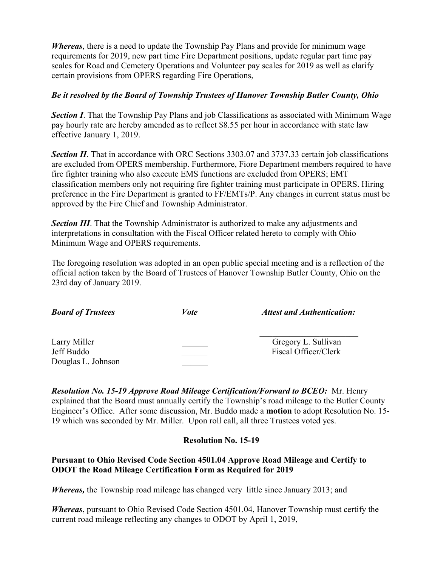*Whereas*, there is a need to update the Township Pay Plans and provide for minimum wage requirements for 2019, new part time Fire Department positions, update regular part time pay scales for Road and Cemetery Operations and Volunteer pay scales for 2019 as well as clarify certain provisions from OPERS regarding Fire Operations,

#### *Be it resolved by the Board of Township Trustees of Hanover Township Butler County, Ohio*

**Section I**. That the Township Pay Plans and job Classifications as associated with Minimum Wage pay hourly rate are hereby amended as to reflect \$8.55 per hour in accordance with state law effective January 1, 2019.

**Section II.** That in accordance with ORC Sections 3303.07 and 3737.33 certain job classifications are excluded from OPERS membership. Furthermore, Fiore Department members required to have fire fighter training who also execute EMS functions are excluded from OPERS; EMT classification members only not requiring fire fighter training must participate in OPERS. Hiring preference in the Fire Department is granted to FF/EMTs/P. Any changes in current status must be approved by the Fire Chief and Township Administrator.

**Section III**. That the Township Administrator is authorized to make any adjustments and interpretations in consultation with the Fiscal Officer related hereto to comply with Ohio Minimum Wage and OPERS requirements.

The foregoing resolution was adopted in an open public special meeting and is a reflection of the official action taken by the Board of Trustees of Hanover Township Butler County, Ohio on the 23rd day of January 2019.

| <b>Board of Trustees</b>                         | <i>Vote</i> | <b>Attest and Authentication:</b>           |
|--------------------------------------------------|-------------|---------------------------------------------|
| Larry Miller<br>Jeff Buddo<br>Douglas L. Johnson |             | Gregory L. Sullivan<br>Fiscal Officer/Clerk |

*Resolution No. 15-19 Approve Road Mileage Certification/Forward to BCEO:* Mr. Henry explained that the Board must annually certify the Township's road mileage to the Butler County Engineer's Office. After some discussion, Mr. Buddo made a **motion** to adopt Resolution No. 15- 19 which was seconded by Mr. Miller. Upon roll call, all three Trustees voted yes.

## **Resolution No. 15-19**

#### **Pursuant to Ohio Revised Code Section 4501.04 Approve Road Mileage and Certify to ODOT the Road Mileage Certification Form as Required for 2019**

*Whereas,* the Township road mileage has changed very little since January 2013; and

*Whereas*, pursuant to Ohio Revised Code Section 4501.04, Hanover Township must certify the current road mileage reflecting any changes to ODOT by April 1, 2019,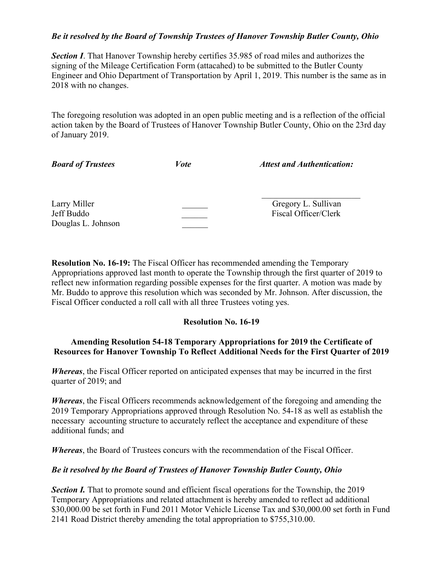#### *Be it resolved by the Board of Township Trustees of Hanover Township Butler County, Ohio*

**Section I**. That Hanover Township hereby certifies 35.985 of road miles and authorizes the signing of the Mileage Certification Form (attacahed) to be submitted to the Butler County Engineer and Ohio Department of Transportation by April 1, 2019. This number is the same as in 2018 with no changes.

The foregoing resolution was adopted in an open public meeting and is a reflection of the official action taken by the Board of Trustees of Hanover Township Butler County, Ohio on the 23rd day of January 2019.

| <b>Board of Trustees</b>                         | <i>Vote</i> | <b>Attest and Authentication:</b>           |
|--------------------------------------------------|-------------|---------------------------------------------|
| Larry Miller<br>Jeff Buddo<br>Douglas L. Johnson |             | Gregory L. Sullivan<br>Fiscal Officer/Clerk |

**Resolution No. 16-19:** The Fiscal Officer has recommended amending the Temporary Appropriations approved last month to operate the Township through the first quarter of 2019 to reflect new information regarding possible expenses for the first quarter. A motion was made by Mr. Buddo to approve this resolution which was seconded by Mr. Johnson. After discussion, the Fiscal Officer conducted a roll call with all three Trustees voting yes.

#### **Resolution No. 16-19**

#### **Amending Resolution 54-18 Temporary Appropriations for 2019 the Certificate of Resources for Hanover Township To Reflect Additional Needs for the First Quarter of 2019**

*Whereas*, the Fiscal Officer reported on anticipated expenses that may be incurred in the first quarter of 2019; and

*Whereas*, the Fiscal Officers recommends acknowledgement of the foregoing and amending the 2019 Temporary Appropriations approved through Resolution No. 54-18 as well as establish the necessary accounting structure to accurately reflect the acceptance and expenditure of these additional funds; and

*Whereas*, the Board of Trustees concurs with the recommendation of the Fiscal Officer.

## *Be it resolved by the Board of Trustees of Hanover Township Butler County, Ohio*

**Section I.** That to promote sound and efficient fiscal operations for the Township, the 2019 Temporary Appropriations and related attachment is hereby amended to reflect ad additional \$30,000.00 be set forth in Fund 2011 Motor Vehicle License Tax and \$30,000.00 set forth in Fund 2141 Road District thereby amending the total appropriation to \$755,310.00.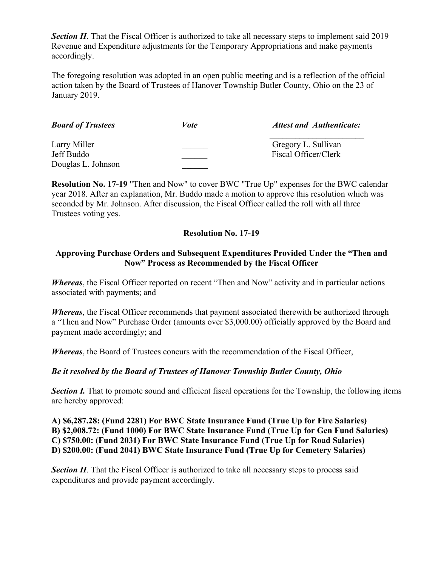**Section II**. That the Fiscal Officer is authorized to take all necessary steps to implement said 2019 Revenue and Expenditure adjustments for the Temporary Appropriations and make payments accordingly.

The foregoing resolution was adopted in an open public meeting and is a reflection of the official action taken by the Board of Trustees of Hanover Township Butler County, Ohio on the 23 of January 2019.

| <b>Board of Trustees</b> | Vote | <b>Attest and Authenticate:</b> |
|--------------------------|------|---------------------------------|
| Larry Miller             |      | Gregory L. Sullivan             |
| Jeff Buddo               |      | Fiscal Officer/Clerk            |
| Douglas L. Johnson       |      |                                 |

**Resolution No. 17-19** "Then and Now" to cover BWC "True Up" expenses for the BWC calendar year 2018. After an explanation, Mr. Buddo made a motion to approve this resolution which was seconded by Mr. Johnson. After discussion, the Fiscal Officer called the roll with all three Trustees voting yes.

## **Resolution No. 17-19**

## **Approving Purchase Orders and Subsequent Expenditures Provided Under the "Then and Now" Process as Recommended by the Fiscal Officer**

*Whereas*, the Fiscal Officer reported on recent "Then and Now" activity and in particular actions associated with payments; and

*Whereas*, the Fiscal Officer recommends that payment associated therewith be authorized through a "Then and Now" Purchase Order (amounts over \$3,000.00) officially approved by the Board and payment made accordingly; and

*Whereas*, the Board of Trustees concurs with the recommendation of the Fiscal Officer,

## *Be it resolved by the Board of Trustees of Hanover Township Butler County, Ohio*

**Section I.** That to promote sound and efficient fiscal operations for the Township, the following items are hereby approved:

**A) \$6,287.28: (Fund 2281) For BWC State Insurance Fund (True Up for Fire Salaries) B) \$2,008.72: (Fund 1000) For BWC State Insurance Fund (True Up for Gen Fund Salaries) C) \$750.00: (Fund 2031) For BWC State Insurance Fund (True Up for Road Salaries) D) \$200.00: (Fund 2041) BWC State Insurance Fund (True Up for Cemetery Salaries)** 

**Section II.** That the Fiscal Officer is authorized to take all necessary steps to process said expenditures and provide payment accordingly.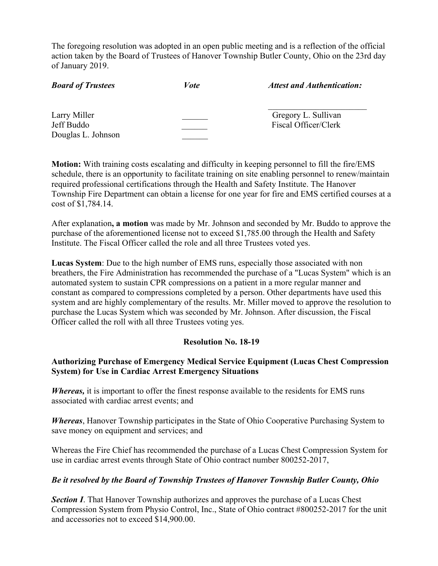The foregoing resolution was adopted in an open public meeting and is a reflection of the official action taken by the Board of Trustees of Hanover Township Butler County, Ohio on the 23rd day of January 2019.

| <b>Board of Trustees</b>                         | <i>Vote</i> | <b>Attest and Authentication:</b>           |
|--------------------------------------------------|-------------|---------------------------------------------|
| Larry Miller<br>Jeff Buddo<br>Douglas L. Johnson |             | Gregory L. Sullivan<br>Fiscal Officer/Clerk |

**Motion:** With training costs escalating and difficulty in keeping personnel to fill the fire/EMS schedule, there is an opportunity to facilitate training on site enabling personnel to renew/maintain required professional certifications through the Health and Safety Institute. The Hanover Township Fire Department can obtain a license for one year for fire and EMS certified courses at a cost of \$1,784.14.

After explanation**, a motion** was made by Mr. Johnson and seconded by Mr. Buddo to approve the purchase of the aforementioned license not to exceed \$1,785.00 through the Health and Safety Institute. The Fiscal Officer called the role and all three Trustees voted yes.

**Lucas System**: Due to the high number of EMS runs, especially those associated with non breathers, the Fire Administration has recommended the purchase of a "Lucas System" which is an automated system to sustain CPR compressions on a patient in a more regular manner and constant as compared to compressions completed by a person. Other departments have used this system and are highly complementary of the results. Mr. Miller moved to approve the resolution to purchase the Lucas System which was seconded by Mr. Johnson. After discussion, the Fiscal Officer called the roll with all three Trustees voting yes.

## **Resolution No. 18-19**

## **Authorizing Purchase of Emergency Medical Service Equipment (Lucas Chest Compression System) for Use in Cardiac Arrest Emergency Situations**

*Whereas,* it is important to offer the finest response available to the residents for EMS runs associated with cardiac arrest events; and

*Whereas*, Hanover Township participates in the State of Ohio Cooperative Purchasing System to save money on equipment and services; and

Whereas the Fire Chief has recommended the purchase of a Lucas Chest Compression System for use in cardiac arrest events through State of Ohio contract number 800252-2017,

## *Be it resolved by the Board of Township Trustees of Hanover Township Butler County, Ohio*

*Section I*. That Hanover Township authorizes and approves the purchase of a Lucas Chest Compression System from Physio Control, Inc., State of Ohio contract #800252-2017 for the unit and accessories not to exceed \$14,900.00.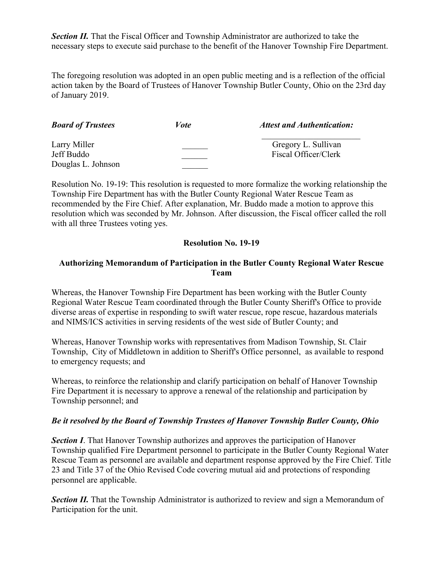**Section II.** That the Fiscal Officer and Township Administrator are authorized to take the necessary steps to execute said purchase to the benefit of the Hanover Township Fire Department.

The foregoing resolution was adopted in an open public meeting and is a reflection of the official action taken by the Board of Trustees of Hanover Township Butler County, Ohio on the 23rd day of January 2019.

| <b>Board of Trustees</b> | <i>Vote</i> | <b>Attest and Authentication:</b> |
|--------------------------|-------------|-----------------------------------|
| Larry Miller             |             | Gregory L. Sullivan               |
| Jeff Buddo               |             | Fiscal Officer/Clerk              |
| Douglas L. Johnson       |             |                                   |

Resolution No. 19-19: This resolution is requested to more formalize the working relationship the Township Fire Department has with the Butler County Regional Water Rescue Team as recommended by the Fire Chief. After explanation, Mr. Buddo made a motion to approve this resolution which was seconded by Mr. Johnson. After discussion, the Fiscal officer called the roll with all three Trustees voting yes.

#### **Resolution No. 19-19**

#### **Authorizing Memorandum of Participation in the Butler County Regional Water Rescue Team**

Whereas, the Hanover Township Fire Department has been working with the Butler County Regional Water Rescue Team coordinated through the Butler County Sheriff's Office to provide diverse areas of expertise in responding to swift water rescue, rope rescue, hazardous materials and NIMS/ICS activities in serving residents of the west side of Butler County; and

Whereas, Hanover Township works with representatives from Madison Township, St. Clair Township, City of Middletown in addition to Sheriff's Office personnel, as available to respond to emergency requests; and

Whereas, to reinforce the relationship and clarify participation on behalf of Hanover Township Fire Department it is necessary to approve a renewal of the relationship and participation by Township personnel; and

#### *Be it resolved by the Board of Township Trustees of Hanover Township Butler County, Ohio*

*Section I*. That Hanover Township authorizes and approves the participation of Hanover Township qualified Fire Department personnel to participate in the Butler County Regional Water Rescue Team as personnel are available and department response approved by the Fire Chief. Title 23 and Title 37 of the Ohio Revised Code covering mutual aid and protections of responding personnel are applicable.

**Section II.** That the Township Administrator is authorized to review and sign a Memorandum of Participation for the unit.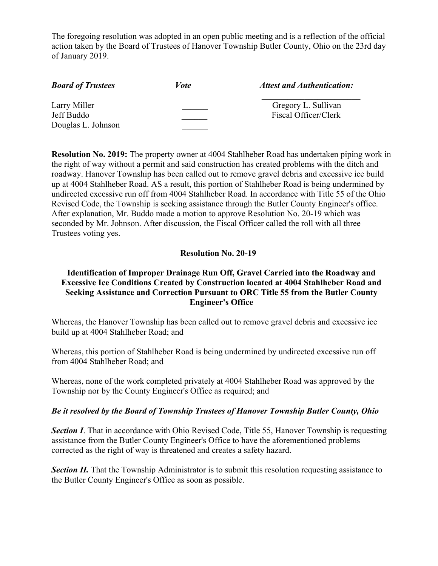The foregoing resolution was adopted in an open public meeting and is a reflection of the official action taken by the Board of Trustees of Hanover Township Butler County, Ohio on the 23rd day of January 2019.

| <b>Board of Trustees</b> | <i>Vote</i> | <b>Attest and Authentication:</b> |
|--------------------------|-------------|-----------------------------------|
| Larry Miller             |             | Gregory L. Sullivan               |
| Jeff Buddo               |             | Fiscal Officer/Clerk              |
| Douglas L. Johnson       |             |                                   |

**Resolution No. 2019:** The property owner at 4004 Stahlheber Road has undertaken piping work in the right of way without a permit and said construction has created problems with the ditch and roadway. Hanover Township has been called out to remove gravel debris and excessive ice build up at 4004 Stahlheber Road. AS a result, this portion of Stahlheber Road is being undermined by undirected excessive run off from 4004 Stahlheber Road. In accordance with Title 55 of the Ohio Revised Code, the Township is seeking assistance through the Butler County Engineer's office. After explanation, Mr. Buddo made a motion to approve Resolution No. 20-19 which was seconded by Mr. Johnson. After discussion, the Fiscal Officer called the roll with all three Trustees voting yes.

#### **Resolution No. 20-19**

## **Identification of Improper Drainage Run Off, Gravel Carried into the Roadway and Excessive Ice Conditions Created by Construction located at 4004 Stahlheber Road and Seeking Assistance and Correction Pursuant to ORC Title 55 from the Butler County Engineer's Office**

Whereas, the Hanover Township has been called out to remove gravel debris and excessive ice build up at 4004 Stahlheber Road; and

Whereas, this portion of Stahlheber Road is being undermined by undirected excessive run off from 4004 Stahlheber Road; and

Whereas, none of the work completed privately at 4004 Stahlheber Road was approved by the Township nor by the County Engineer's Office as required; and

#### *Be it resolved by the Board of Township Trustees of Hanover Township Butler County, Ohio*

*Section I*. That in accordance with Ohio Revised Code, Title 55, Hanover Township is requesting assistance from the Butler County Engineer's Office to have the aforementioned problems corrected as the right of way is threatened and creates a safety hazard.

**Section II.** That the Township Administrator is to submit this resolution requesting assistance to the Butler County Engineer's Office as soon as possible.